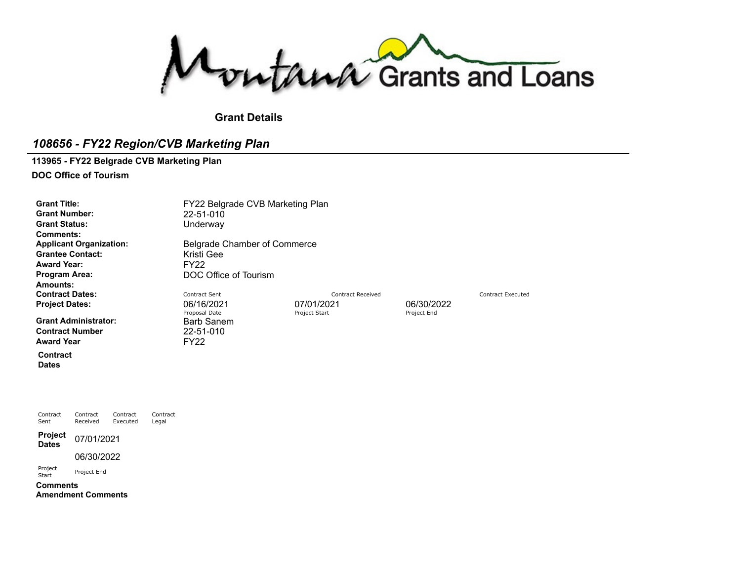Montana Grants and Loans

#### **Grant Details**

### *108656 - FY22 Region/CVB Marketing Plan*

**113965 - FY22 Belgrade CVB Marketing Plan**

**DOC Office of Tourism**

**Grant Number:** 22-51-010 **Grant Status:** Underway **Comments:** Grantee Contact: [Kristi](https://funding.mt.gov/personDetail.do?OIDString=1518133469250|Person&history=include) Gee **Award Year:** FY22<br>Program Area: DOC **Amounts: Contract Dates:** Contract Dentract Sent Contract Sent Contract Received Contract Received Contract Executed **Project Dates:** 06/16/2021 06/16/2021 07/01/2021 06/30/2022<br>Proposal Date Proposal Date Project Start Project Start Project End

**Grant Administrator:** Barb [Sanem](https://funding.mt.gov/personDetail.do?OIDString=1324656878242|Person&history=include)<br> **Contract Number** 22-51-010 **Contract Number** Award Year **FY22** 

**Contract**

**Dates**

Contract Sent Contract Received Contract Executed Contract Legal **Project Dates** 07/01/2021 06/30/2022 Project Project End **Comments**

**Amendment Comments**

**Grant Title:** FY22 Belgrade CVB Marketing Plan **Applicant Organization:** Belgrade Chamber of [Commerce](https://funding.mt.gov/organizationDetail.do?OIDString=1429029468125|Organization&history=include)

**Program Area:** DOC Office of Tourism

Proposal Date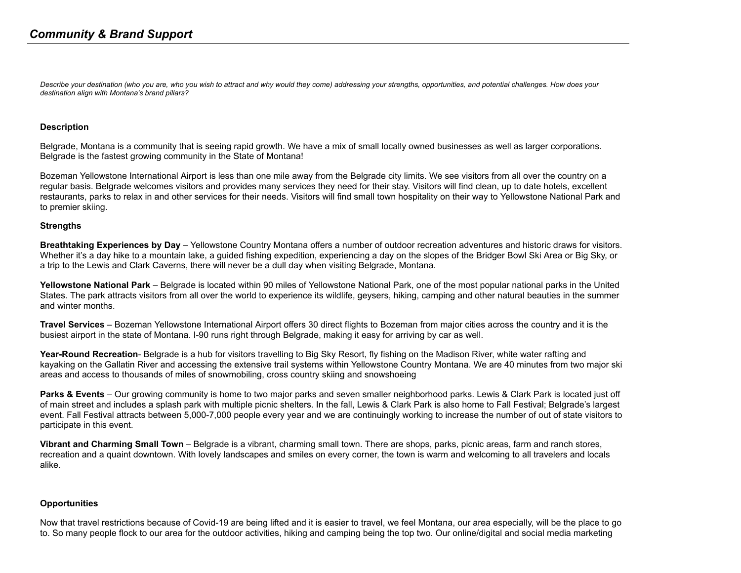Describe your destination (who you are, who you wish to attract and why would they come) addressing your strengths, opportunities, and potential challenges. How does your *destination align with Montana's brand pillars?*

#### **Description**

Belgrade, Montana is a community that is seeing rapid growth. We have a mix of small locally owned businesses as well as larger corporations. Belgrade is the fastest growing community in the State of Montana!

Bozeman Yellowstone International Airport is less than one mile away from the Belgrade city limits. We see visitors from all over the country on a regular basis. Belgrade welcomes visitors and provides many services they need for their stay. Visitors will find clean, up to date hotels, excellent restaurants, parks to relax in and other services for their needs. Visitors will find small town hospitality on their way to Yellowstone National Park and to premier skiing.

#### **Strengths**

**Breathtaking Experiences by Day** – Yellowstone Country Montana offers a number of outdoor recreation adventures and historic draws for visitors. Whether it's a day hike to a mountain lake, a guided fishing expedition, experiencing a day on the slopes of the Bridger Bowl Ski Area or Big Sky, or a trip to the Lewis and Clark Caverns, there will never be a dull day when visiting Belgrade, Montana.

**Yellowstone National Park** – Belgrade is located within 90 miles of Yellowstone National Park, one of the most popular national parks in the United States. The park attracts visitors from all over the world to experience its wildlife, geysers, hiking, camping and other natural beauties in the summer and winter months.

**Travel Services** – Bozeman Yellowstone International Airport offers 30 direct flights to Bozeman from major cities across the country and it is the busiest airport in the state of Montana. I-90 runs right through Belgrade, making it easy for arriving by car as well.

**Year-Round Recreation**- Belgrade is a hub for visitors travelling to Big Sky Resort, fly fishing on the Madison River, white water rafting and kayaking on the Gallatin River and accessing the extensive trail systems within Yellowstone Country Montana. We are 40 minutes from two major ski areas and access to thousands of miles of snowmobiling, cross country skiing and snowshoeing

**Parks & Events** – Our growing community is home to two major parks and seven smaller neighborhood parks. Lewis & Clark Park is located just off of main street and includes a splash park with multiple picnic shelters. In the fall, Lewis & Clark Park is also home to Fall Festival; Belgrade's largest event. Fall Festival attracts between 5,000-7,000 people every year and we are continuingly working to increase the number of out of state visitors to participate in this event.

**Vibrant and Charming Small Town** – Belgrade is a vibrant, charming small town. There are shops, parks, picnic areas, farm and ranch stores, recreation and a quaint downtown. With lovely landscapes and smiles on every corner, the town is warm and welcoming to all travelers and locals alike.

#### **Opportunities**

Now that travel restrictions because of Covid-19 are being lifted and it is easier to travel, we feel Montana, our area especially, will be the place to go to. So many people flock to our area for the outdoor activities, hiking and camping being the top two. Our online/digital and social media marketing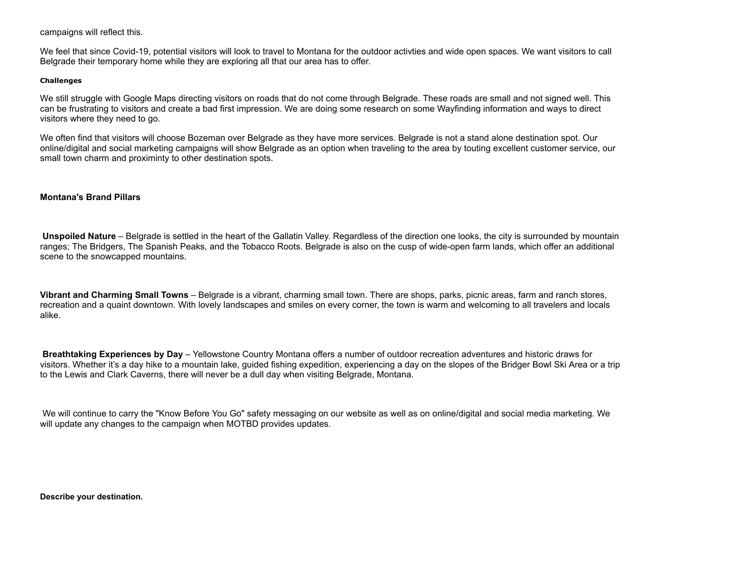campaigns will reflect this.

We feel that since Covid-19, potential visitors will look to travel to Montana for the outdoor activties and wide open spaces. We want visitors to call Belgrade their temporary home while they are exploring all that our area has to offer.

#### **Challenges**

We still struggle with Google Maps directing visitors on roads that do not come through Belgrade. These roads are small and not signed well. This can be frustrating to visitors and create a bad first impression. We are doing some research on some Wayfinding information and ways to direct visitors where they need to go.

We often find that visitors will choose Bozeman over Belgrade as they have more services. Belgrade is not a stand alone destination spot. Our online/digital and social marketing campaigns will show Belgrade as an option when traveling to the area by touting excellent customer service, our small town charm and proximinty to other destination spots.

#### **Montana's Brand Pillars**

**Unspoiled Nature** – Belgrade is settled in the heart of the Gallatin Valley. Regardless of the direction one looks, the city is surrounded by mountain ranges; The Bridgers, The Spanish Peaks, and the Tobacco Roots. Belgrade is also on the cusp of wide-open farm lands, which offer an additional scene to the snowcapped mountains.

**Vibrant and Charming Small Towns** – Belgrade is a vibrant, charming small town. There are shops, parks, picnic areas, farm and ranch stores, recreation and a quaint downtown. With lovely landscapes and smiles on every corner, the town is warm and welcoming to all travelers and locals alike.

**Breathtaking Experiences by Day** – Yellowstone Country Montana offers a number of outdoor recreation adventures and historic draws for visitors. Whether it's a day hike to a mountain lake, guided fishing expedition, experiencing a day on the slopes of the Bridger Bowl Ski Area or a trip to the Lewis and Clark Caverns, there will never be a dull day when visiting Belgrade, Montana.

We will continue to carry the "Know Before You Go" safety messaging on our website as well as on online/digital and social media marketing. We will update any changes to the campaign when MOTBD provides updates.

**Describe your destination.**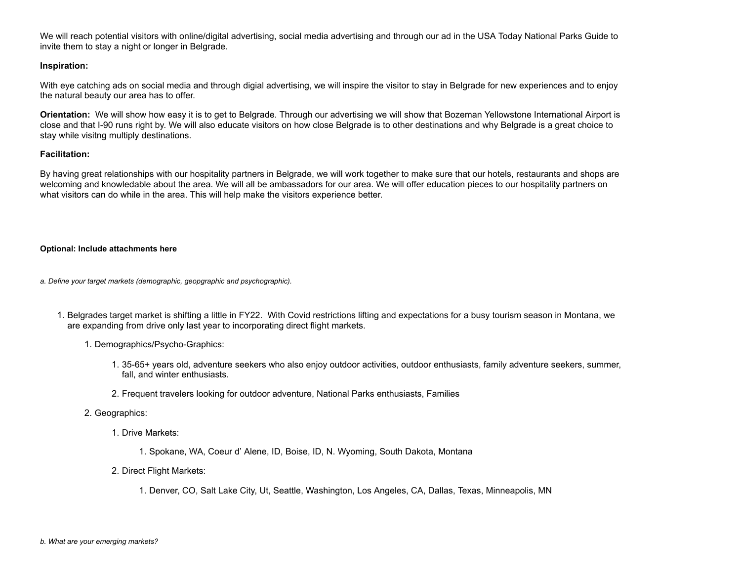We will reach potential visitors with online/digital advertising, social media advertising and through our ad in the USA Today National Parks Guide to invite them to stay a night or longer in Belgrade.

#### **Inspiration:**

With eye catching ads on social media and through digial advertising, we will inspire the visitor to stay in Belgrade for new experiences and to enjoy the natural beauty our area has to offer.

**Orientation:** We will show how easy it is to get to Belgrade. Through our advertising we will show that Bozeman Yellowstone International Airport is close and that I-90 runs right by. We will also educate visitors on how close Belgrade is to other destinations and why Belgrade is a great choice to stay while visitng multiply destinations.

#### **Facilitation:**

By having great relationships with our hospitality partners in Belgrade, we will work together to make sure that our hotels, restaurants and shops are welcoming and knowledable about the area. We will all be ambassadors for our area. We will offer education pieces to our hospitality partners on what visitors can do while in the area. This will help make the visitors experience better.

#### **Optional: Include attachments here**

*a. Define your target markets (demographic, geopgraphic and psychographic).*

- 1. Belgrades target market is shifting a little in FY22. With Covid restrictions lifting and expectations for a busy tourism season in Montana, we are expanding from drive only last year to incorporating direct flight markets.
	- 1. Demographics/Psycho-Graphics:
		- 1. 35-65+ years old, adventure seekers who also enjoy outdoor activities, outdoor enthusiasts, family adventure seekers, summer, fall, and winter enthusiasts.
		- 2. Frequent travelers looking for outdoor adventure, National Parks enthusiasts, Families
	- 2. Geographics:
		- 1. Drive Markets:
			- 1. Spokane, WA, Coeur d' Alene, ID, Boise, ID, N. Wyoming, South Dakota, Montana
		- 2. Direct Flight Markets:
			- 1. Denver, CO, Salt Lake City, Ut, Seattle, Washington, Los Angeles, CA, Dallas, Texas, Minneapolis, MN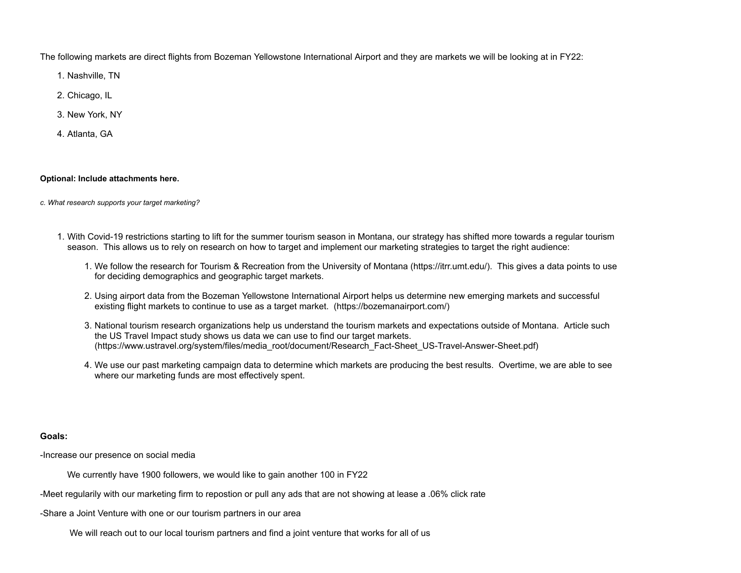The following markets are direct flights from Bozeman Yellowstone International Airport and they are markets we will be looking at in FY22:

- 1. Nashville, TN
- 2. Chicago, IL
- 3. New York, NY
- 4. Atlanta, GA

#### **Optional: Include attachments here.**

*c. What research supports your target marketing?*

- 1. With Covid-19 restrictions starting to lift for the summer tourism season in Montana, our strategy has shifted more towards a regular tourism season. This allows us to rely on research on how to target and implement our marketing strategies to target the right audience:
	- 1. We follow the research for Tourism & Recreation from the University of Montana ([https://itrr.umt.edu/\)](https://itrr.umt.edu/)). This gives a data points to use for deciding demographics and geographic target markets.
	- 2. Using airport data from the Bozeman Yellowstone International Airport helps us determine new emerging markets and successful existing flight markets to continue to use as a target market. (<https://bozemanairport.com/>)
	- 3. National tourism research organizations help us understand the tourism markets and expectations outside of Montana. Article such the US Travel Impact study shows us data we can use to find our target markets. [\(https://www.ustravel.org/system/files/media\\_root/document/Research\\_Fact-Sheet\\_US-Travel-Answer-Sheet.pdf](https://www.ustravel.org/system/files/media_root/document/Research_Fact-Sheet_US-Travel-Answer-Sheet.pdf))
	- 4. We use our past marketing campaign data to determine which markets are producing the best results. Overtime, we are able to see where our marketing funds are most effectively spent.

#### **Goals:**

-Increase our presence on social media

We currently have 1900 followers, we would like to gain another 100 in FY22

-Meet regularily with our marketing firm to repostion or pull any ads that are not showing at lease a .06% click rate

-Share a Joint Venture with one or our tourism partners in our area

We will reach out to our local tourism partners and find a joint venture that works for all of us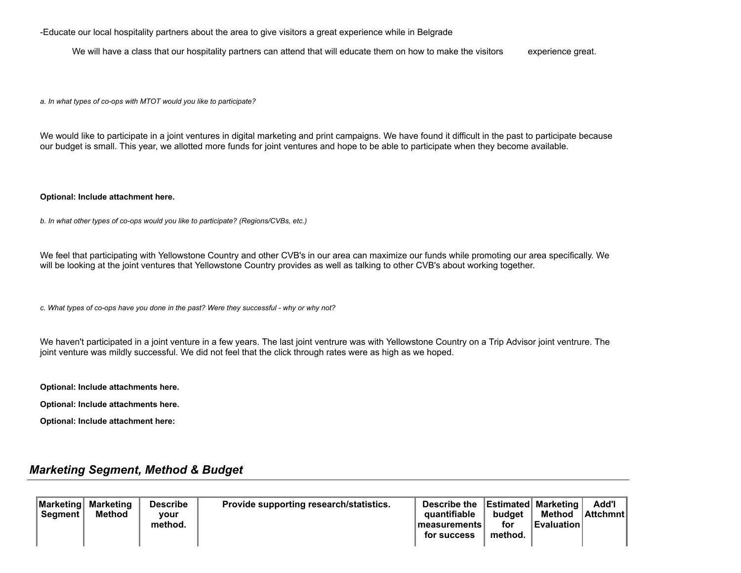-Educate our local hospitality partners about the area to give visitors a great experience while in Belgrade

We will have a class that our hospitality partners can attend that will educate them on how to make the visitors experience great.

*a. In what types of co-ops with MTOT would you like to participate?*

We would like to participate in a joint ventures in digital marketing and print campaigns. We have found it difficult in the past to participate because our budget is small. This year, we allotted more funds for joint ventures and hope to be able to participate when they become available.

#### **Optional: Include attachment here.**

*b. In what other types of co-ops would you like to participate? (Regions/CVBs, etc.)*

We feel that participating with Yellowstone Country and other CVB's in our area can maximize our funds while promoting our area specifically. We will be looking at the joint ventures that Yellowstone Country provides as well as talking to other CVB's about working together.

*c. What types of co-ops have you done in the past? Were they successful - why or why not?*

We haven't participated in a joint venture in a few years. The last joint ventrure was with Yellowstone Country on a Trip Advisor joint ventrure. The joint venture was mildly successful. We did not feel that the click through rates were as high as we hoped.

**Optional: Include attachments here.**

**Optional: Include attachments here.**

**Optional: Include attachment here:**

### *Marketing Segment, Method & Budget*

| Marketing   Marketing<br><b>Seament</b> | Method | <b>Describe</b><br><b>vour</b><br>method. | Provide supporting research/statistics. | Describe the<br>quantifiable<br>⊺measurements⊺<br>for success | budget<br>for<br>method. | <b>Estimated Marketing</b><br>Method | Add'l<br>∣Attchmnt I |  |
|-----------------------------------------|--------|-------------------------------------------|-----------------------------------------|---------------------------------------------------------------|--------------------------|--------------------------------------|----------------------|--|
|-----------------------------------------|--------|-------------------------------------------|-----------------------------------------|---------------------------------------------------------------|--------------------------|--------------------------------------|----------------------|--|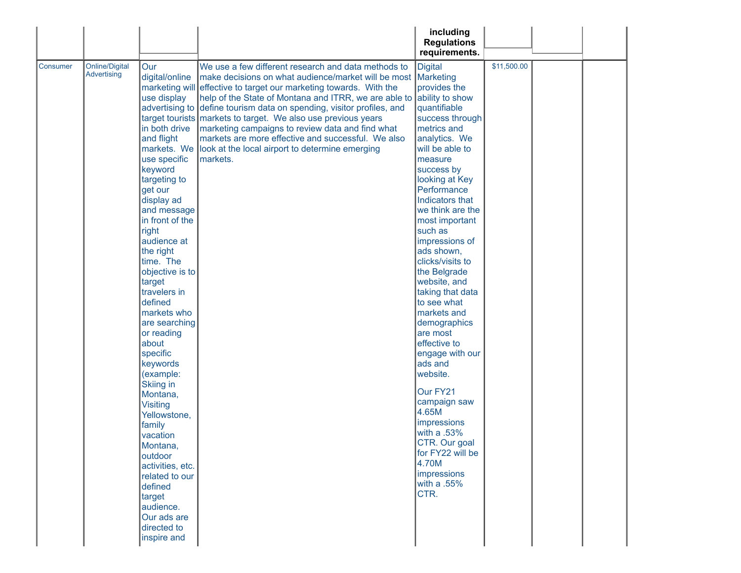|                 |                                      |                                                                                                                                                                                                                                                                                                                                                                                                                             |                                                                                                                                                                                                                                                                                                                                                                                                                                                                                                                                                                                    | including<br><b>Regulations</b>                                                                                                                                                                                                                                                                                                                                                                                                                                                                                                                         |             |  |
|-----------------|--------------------------------------|-----------------------------------------------------------------------------------------------------------------------------------------------------------------------------------------------------------------------------------------------------------------------------------------------------------------------------------------------------------------------------------------------------------------------------|------------------------------------------------------------------------------------------------------------------------------------------------------------------------------------------------------------------------------------------------------------------------------------------------------------------------------------------------------------------------------------------------------------------------------------------------------------------------------------------------------------------------------------------------------------------------------------|---------------------------------------------------------------------------------------------------------------------------------------------------------------------------------------------------------------------------------------------------------------------------------------------------------------------------------------------------------------------------------------------------------------------------------------------------------------------------------------------------------------------------------------------------------|-------------|--|
| <b>Consumer</b> | <b>Online/Digital</b><br>Advertising | Our<br>digital/online<br>use display<br>in both drive<br>and flight<br>use specific<br>keyword<br>targeting to<br>get our<br>display ad<br>and message<br>in front of the<br>right<br>audience at<br>the right<br>time. The<br>objective is to<br>target<br>travelers in<br>defined<br>markets who<br>are searching<br>or reading<br>about<br>specific<br>keywords<br>(example:<br>Skiing in<br>Montana,<br><b>Visiting</b> | We use a few different research and data methods to<br>make decisions on what audience/market will be most Marketing<br>marketing will effective to target our marketing towards. With the<br>help of the State of Montana and ITRR, we are able to<br>advertising to define tourism data on spending, visitor profiles, and<br>target tourists markets to target. We also use previous years<br>marketing campaigns to review data and find what<br>markets are more effective and successful. We also<br>markets. We look at the local airport to determine emerging<br>markets. | requirements.<br><b>Digital</b><br>provides the<br>ability to show<br>quantifiable<br>success through<br>metrics and<br>analytics. We<br>will be able to<br>measure<br>success by<br>looking at Key<br>Performance<br>Indicators that<br>we think are the<br>most important<br>such as<br>impressions of<br>ads shown,<br>clicks/visits to<br>the Belgrade<br>website, and<br>taking that data<br>to see what<br>markets and<br>demographics<br>are most<br>effective to<br>engage with our<br>ads and<br>website.<br>Our FY21<br>campaign saw<br>4.65M | \$11,500.00 |  |
|                 |                                      | Yellowstone,<br>family<br>vacation<br>Montana,<br>outdoor<br>activities, etc.<br>related to our                                                                                                                                                                                                                                                                                                                             |                                                                                                                                                                                                                                                                                                                                                                                                                                                                                                                                                                                    | impressions<br>with a .53%<br>CTR. Our goal<br>for FY22 will be<br>4.70M<br>impressions                                                                                                                                                                                                                                                                                                                                                                                                                                                                 |             |  |
|                 |                                      | defined<br>target<br>audience.<br>Our ads are<br>directed to<br>inspire and                                                                                                                                                                                                                                                                                                                                                 |                                                                                                                                                                                                                                                                                                                                                                                                                                                                                                                                                                                    | with a .55%<br>CTR.                                                                                                                                                                                                                                                                                                                                                                                                                                                                                                                                     |             |  |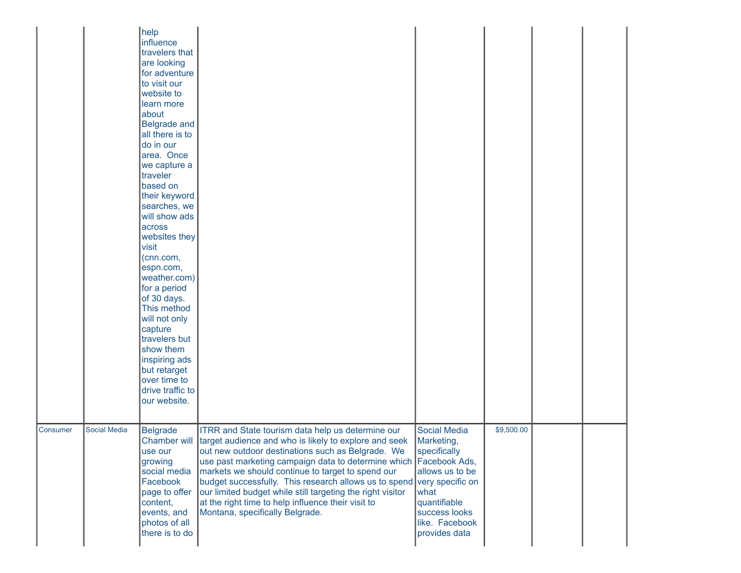|          |                     | help<br>influence<br>travelers that<br>are looking<br>for adventure<br>to visit our<br>website to<br>learn more<br>about<br><b>Belgrade and</b><br>all there is to<br>do in our<br>area. Once<br>we capture a<br>traveler<br>based on<br>their keyword<br>searches, we<br>will show ads<br>across<br>websites they<br>visit<br>(cnn.com,<br>espn.com,<br>weather.com)<br>for a period<br>of 30 days.<br>This method<br>will not only<br>capture<br>travelers but<br>show them<br>inspiring ads<br>but retarget<br>over time to<br>drive traffic to<br>our website. |                                                                                                                                                                                                                                                                                                                                                                                                                                                                                                                                         |                                                                                                                                                  |            |  |  |
|----------|---------------------|--------------------------------------------------------------------------------------------------------------------------------------------------------------------------------------------------------------------------------------------------------------------------------------------------------------------------------------------------------------------------------------------------------------------------------------------------------------------------------------------------------------------------------------------------------------------|-----------------------------------------------------------------------------------------------------------------------------------------------------------------------------------------------------------------------------------------------------------------------------------------------------------------------------------------------------------------------------------------------------------------------------------------------------------------------------------------------------------------------------------------|--------------------------------------------------------------------------------------------------------------------------------------------------|------------|--|--|
| Consumer | <b>Social Media</b> | <b>Belgrade</b><br>use our<br>growing<br>social media<br>Facebook<br>page to offer<br>content,<br>events, and<br>photos of all<br>there is to do                                                                                                                                                                                                                                                                                                                                                                                                                   | ITRR and State tourism data help us determine our<br>Chamber will target audience and who is likely to explore and seek<br>out new outdoor destinations such as Belgrade. We<br>use past marketing campaign data to determine which Facebook Ads,<br>markets we should continue to target to spend our<br>budget successfully. This research allows us to spend very specific on<br>our limited budget while still targeting the right visitor<br>at the right time to help influence their visit to<br>Montana, specifically Belgrade. | <b>Social Media</b><br>Marketing,<br>specifically<br>allows us to be<br>what<br>quantifiable<br>success looks<br>like. Facebook<br>provides data | \$9,500.00 |  |  |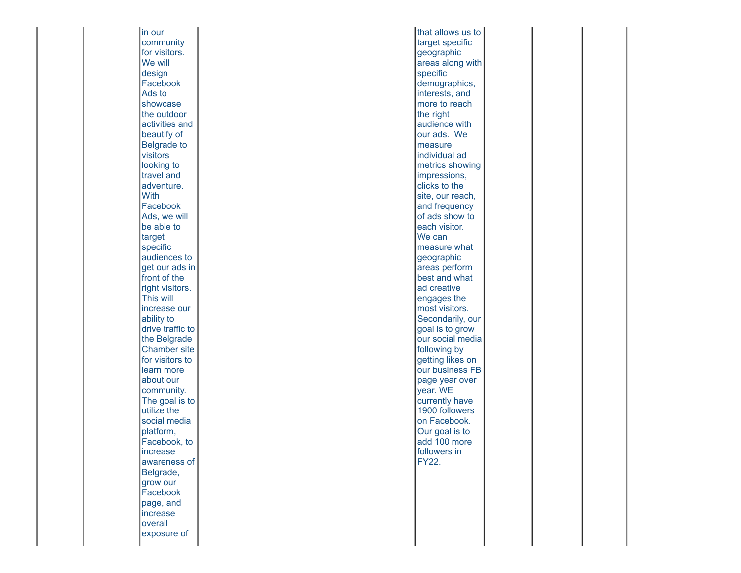in our community for visitors. We will design Facebook Ads to showcase the outdoor activities and beautify of Belgrade to visitors looking to travel and adventure. With Facebook Ads, we will be able to target specific audiences to get our ads in front of the right visitors. This will increase our ability to drive traffic to the Belgrade Chamber site for visitors to learn more about our community. The goal is to utilize the social media platform, Facebook, to increase awareness of Belgrade, grow our Facebook page, and increase **overall** exposure of

that allows us to target specific geographic areas along with specific demographics, interests, and more to reach the right audience with our ads. W e measure individual ad metrics showing impressions, clicks to the site, our reach, and frequency of ads show to each visitor. We can measure what geographic areas perform best and what ad creative engages the most visitors. Secondarily, our goal is to grow our social media following by getting likes on our business FB page year over year. WE currently have 1900 followers on Facebook. Our goal is to add 100 more followers in FY22.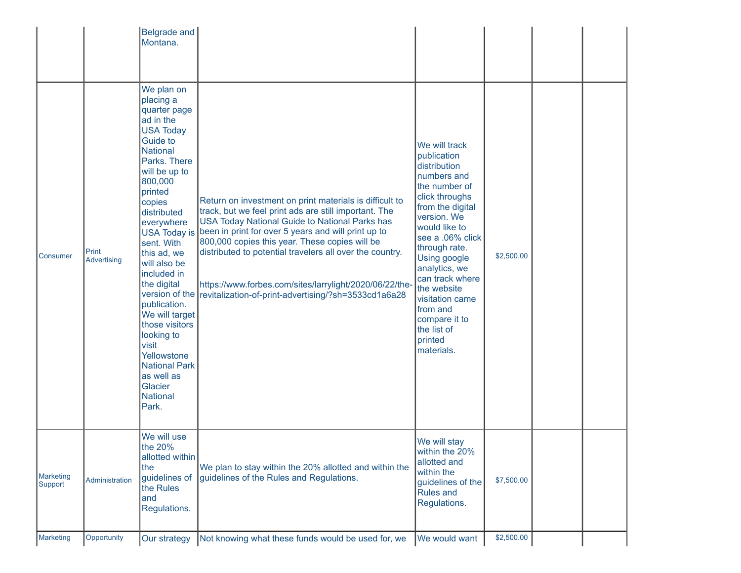|                             |                      | Belgrade and<br>Montana.                                                                                                                                                                                                                                                                                                                                                                                                                                                                                |                                                                                                                                                                                                                                                                                                                                                                                                                                                                   |                                                                                                                                                                                                                                                                                                                                                           |            |  |
|-----------------------------|----------------------|---------------------------------------------------------------------------------------------------------------------------------------------------------------------------------------------------------------------------------------------------------------------------------------------------------------------------------------------------------------------------------------------------------------------------------------------------------------------------------------------------------|-------------------------------------------------------------------------------------------------------------------------------------------------------------------------------------------------------------------------------------------------------------------------------------------------------------------------------------------------------------------------------------------------------------------------------------------------------------------|-----------------------------------------------------------------------------------------------------------------------------------------------------------------------------------------------------------------------------------------------------------------------------------------------------------------------------------------------------------|------------|--|
| <b>Consumer</b>             | Print<br>Advertising | We plan on<br>placing a<br>quarter page<br>ad in the<br><b>USA Today</b><br><b>Guide to</b><br><b>National</b><br>Parks. There<br>will be up to<br>800,000<br>printed<br>copies<br>distributed<br>everywhere<br><b>USA Today is</b><br>sent. With<br>this ad, we<br>will also be<br>included in<br>the digital<br>version of the<br>publication.<br>We will target<br>those visitors<br>looking to<br>visit<br>Yellowstone<br><b>National Park</b><br>as well as<br>Glacier<br><b>National</b><br>Park. | Return on investment on print materials is difficult to<br>track, but we feel print ads are still important. The<br><b>USA Today National Guide to National Parks has</b><br>been in print for over 5 years and will print up to<br>800,000 copies this year. These copies will be<br>distributed to potential travelers all over the country.<br>https://www.forbes.com/sites/larrylight/2020/06/22/the-<br>revitalization-of-print-advertising/?sh=3533cd1a6a28 | We will track<br>publication<br>distribution<br>numbers and<br>the number of<br>click throughs<br>from the digital<br>version. We<br>would like to<br>see a .06% click<br>through rate.<br><b>Using google</b><br>analytics, we<br>can track where<br>the website<br>visitation came<br>from and<br>compare it to<br>the list of<br>printed<br>materials. | \$2,500.00 |  |
| <b>Marketing</b><br>Support | Administration       | We will use<br>the 20%<br>allotted within<br>the<br>guidelines of<br>the Rules<br>and<br>Regulations.                                                                                                                                                                                                                                                                                                                                                                                                   | We plan to stay within the 20% allotted and within the<br>guidelines of the Rules and Regulations.                                                                                                                                                                                                                                                                                                                                                                | We will stay<br>within the 20%<br>allotted and<br>within the<br>guidelines of the<br><b>Rules and</b><br>Regulations.                                                                                                                                                                                                                                     | \$7,500.00 |  |
| <b>Marketing</b>            | Opportunity          | Our strategy                                                                                                                                                                                                                                                                                                                                                                                                                                                                                            | Not knowing what these funds would be used for, we                                                                                                                                                                                                                                                                                                                                                                                                                | We would want                                                                                                                                                                                                                                                                                                                                             | \$2,500.00 |  |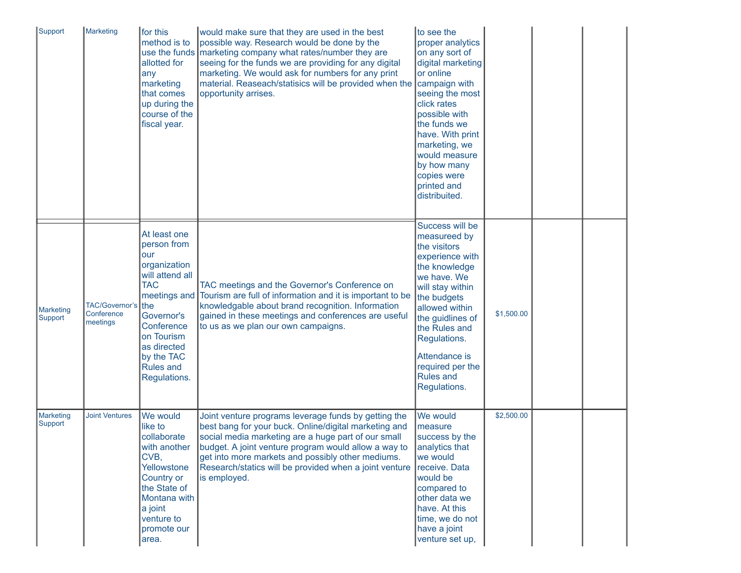| Support<br>Marketing                    |                                | for this<br>method is to<br>allotted for<br>any<br>marketing<br>that comes<br>up during the<br>course of the<br>fiscal year.                                                                           | would make sure that they are used in the best<br>possible way. Research would be done by the<br>use the funds   marketing company what rates/number they are<br>seeing for the funds we are providing for any digital<br>marketing. We would ask for numbers for any print<br>material. Reaseach/statisics will be provided when the<br>opportunity arrises. | to see the<br>proper analytics<br>on any sort of<br>digital marketing<br>or online<br>campaign with<br>seeing the most<br>click rates<br>possible with<br>the funds we<br>have. With print<br>marketing, we<br>would measure<br>by how many<br>copies were<br>printed and<br>distribuited. |            |  |
|-----------------------------------------|--------------------------------|--------------------------------------------------------------------------------------------------------------------------------------------------------------------------------------------------------|---------------------------------------------------------------------------------------------------------------------------------------------------------------------------------------------------------------------------------------------------------------------------------------------------------------------------------------------------------------|--------------------------------------------------------------------------------------------------------------------------------------------------------------------------------------------------------------------------------------------------------------------------------------------|------------|--|
| <b>Marketing</b><br>Support<br>meetings | TAC/Governor's I<br>Conference | At least one<br>person from<br>our<br>organization<br>will attend all<br><b>TAC</b><br>Ithe<br>Governor's<br>Conference<br>on Tourism<br>as directed<br>by the TAC<br><b>Rules and</b><br>Regulations. | TAC meetings and the Governor's Conference on<br>meetings and Tourism are full of information and it is important to be<br>knowledgable about brand recognition. Information<br>gained in these meetings and conferences are useful<br>to us as we plan our own campaigns.                                                                                    | Success will be<br>measureed by<br>the visitors<br>experience with<br>the knowledge<br>we have. We<br>will stay within<br>the budgets<br>allowed within<br>the guidlines of<br>the Rules and<br>Regulations.<br>Attendance is<br>required per the<br><b>Rules and</b><br>Regulations.      | \$1,500.00 |  |
| <b>Marketing</b><br>Support             | <b>Joint Ventures</b>          | We would<br>like to<br>collaborate<br>with another<br>CVB,<br>Yellowstone<br>Country or<br>the State of<br>Montana with<br>a joint<br>venture to<br>promote our<br>area.                               | Joint venture programs leverage funds by getting the<br>best bang for your buck. Online/digital marketing and<br>social media marketing are a huge part of our small<br>budget. A joint venture program would allow a way to<br>get into more markets and possibly other mediums.<br>Research/statics will be provided when a joint venture<br>is employed.   | We would<br>measure<br>success by the<br>analytics that<br>we would<br>receive. Data<br>would be<br>compared to<br>other data we<br>have. At this<br>time, we do not<br>have a joint<br>venture set up,                                                                                    | \$2,500.00 |  |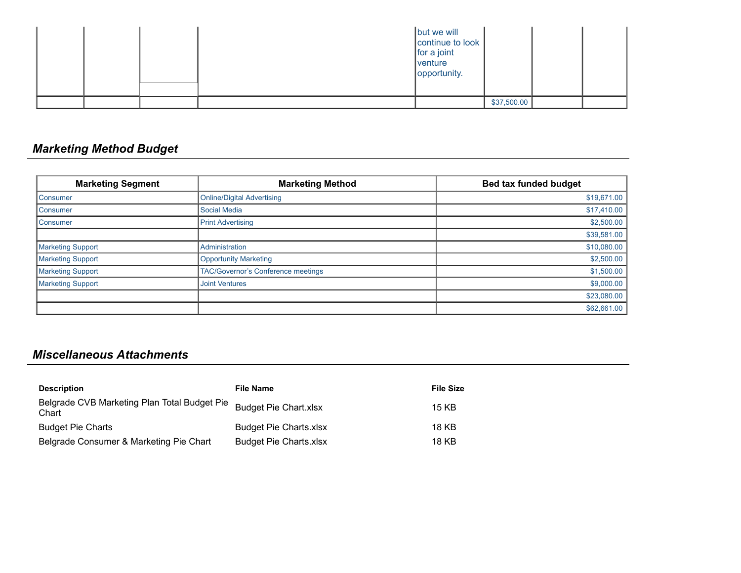|  |  | but we will<br>continue to look<br>$ $ for a joint<br>venture<br>opportunity. |             |  |
|--|--|-------------------------------------------------------------------------------|-------------|--|
|  |  |                                                                               | \$37,500.00 |  |

# *Marketing Method Budget*

| <b>Marketing Segment</b> | <b>Marketing Method</b>                   | <b>Bed tax funded budget</b> |
|--------------------------|-------------------------------------------|------------------------------|
| Consumer                 | <b>Online/Digital Advertising</b>         | \$19,671.00                  |
| <b>Consumer</b>          | Social Media                              | \$17,410.00                  |
| Consumer                 | <b>Print Advertising</b>                  | \$2,500.00                   |
|                          |                                           | \$39,581.00                  |
| <b>Marketing Support</b> | Administration                            | \$10,080.00                  |
| <b>Marketing Support</b> | <b>Opportunity Marketing</b>              | \$2,500.00                   |
| Marketing Support        | <b>TAC/Governor's Conference meetings</b> | \$1,500.00                   |
| <b>Marketing Support</b> | <b>Joint Ventures</b>                     | \$9,000.00                   |
|                          |                                           | \$23,080.00                  |
|                          |                                           | \$62,661.00                  |

## *Miscellaneous Attachments*

| <b>Description</b>                                    | <b>File Name</b>              | <b>File Size</b> |
|-------------------------------------------------------|-------------------------------|------------------|
| Belgrade CVB Marketing Plan Total Budget Pie<br>Chart | <b>Budget Pie Chart.xlsx</b>  | 15 KB            |
| <b>Budget Pie Charts</b>                              | <b>Budget Pie Charts.xlsx</b> | 18 KB            |
| Belgrade Consumer & Marketing Pie Chart               | <b>Budget Pie Charts.xlsx</b> | 18 KB            |